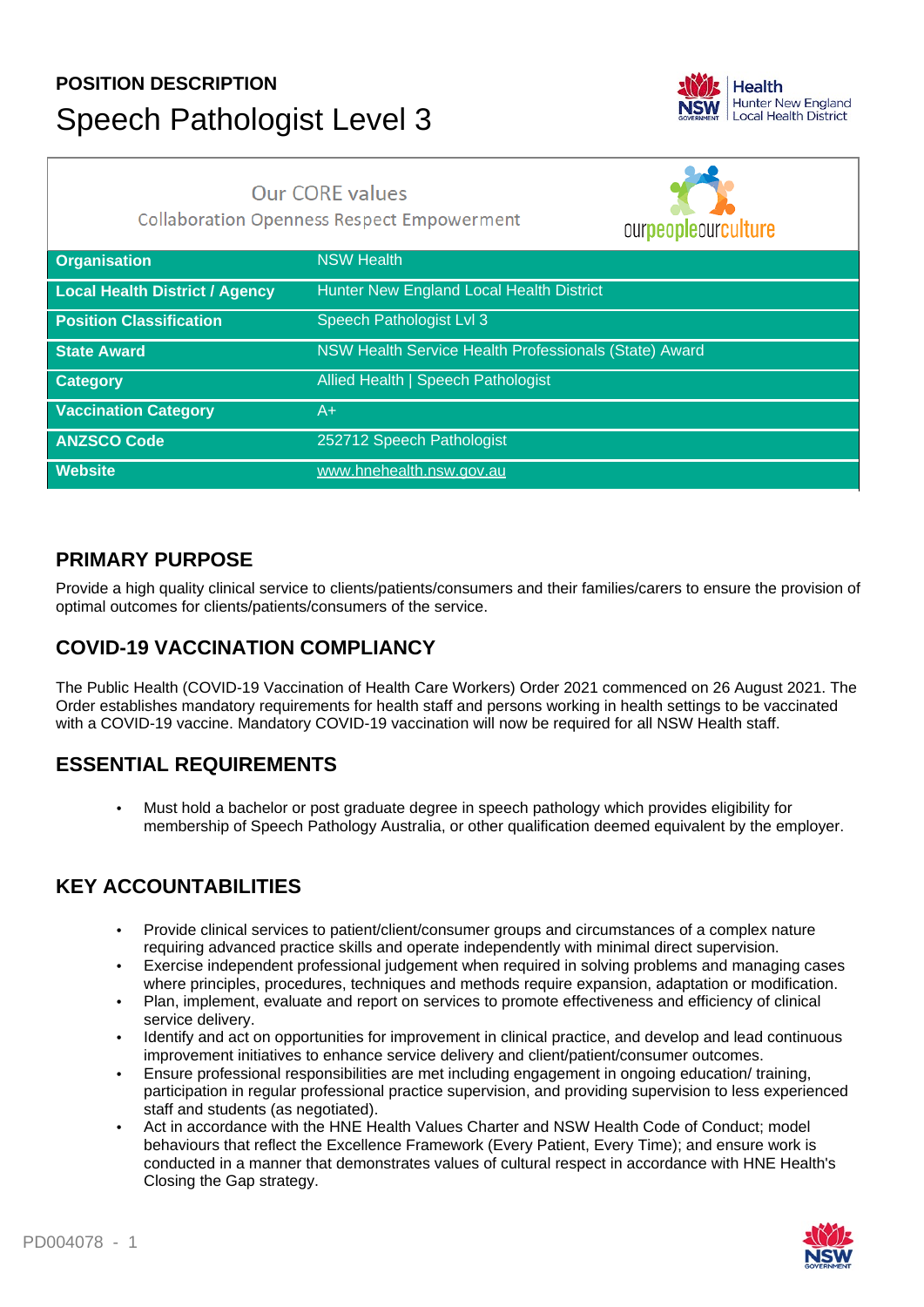# **POSITION DESCRIPTION** Speech Pathologist Level 3



## **Our CORE values**

**Collaboration Openness Respect Empowerment** 

ourneonlequraulture

| <b>Organisation</b>                   | <b>NSW Health</b>                                     |
|---------------------------------------|-------------------------------------------------------|
| <b>Local Health District / Agency</b> | Hunter New England Local Health District              |
| <b>Position Classification</b>        | Speech Pathologist Lvl 3                              |
| <b>State Award</b>                    | NSW Health Service Health Professionals (State) Award |
| <b>Category</b>                       | Allied Health   Speech Pathologist                    |
| <b>Vaccination Category</b>           | A+                                                    |
| <b>ANZSCO Code</b>                    | 252712 Speech Pathologist                             |
| <b>Website</b>                        | www.hnehealth.nsw.gov.au                              |

#### **PRIMARY PURPOSE**

Provide a high quality clinical service to clients/patients/consumers and their families/carers to ensure the provision of optimal outcomes for clients/patients/consumers of the service.

## **COVID-19 VACCINATION COMPLIANCY**

The Public Health (COVID-19 Vaccination of Health Care Workers) Order 2021 commenced on 26 August 2021. The Order establishes mandatory requirements for health staff and persons working in health settings to be vaccinated with a COVID-19 vaccine. Mandatory COVID-19 vaccination will now be required for all NSW Health staff.

## **ESSENTIAL REQUIREMENTS**

• Must hold a bachelor or post graduate degree in speech pathology which provides eligibility for membership of Speech Pathology Australia, or other qualification deemed equivalent by the employer.

## **KEY ACCOUNTABILITIES**

- Provide clinical services to patient/client/consumer groups and circumstances of a complex nature requiring advanced practice skills and operate independently with minimal direct supervision.
- Exercise independent professional judgement when required in solving problems and managing cases where principles, procedures, techniques and methods require expansion, adaptation or modification.
- Plan, implement, evaluate and report on services to promote effectiveness and efficiency of clinical service delivery.
- Identify and act on opportunities for improvement in clinical practice, and develop and lead continuous improvement initiatives to enhance service delivery and client/patient/consumer outcomes.
- Ensure professional responsibilities are met including engagement in ongoing education/ training, participation in regular professional practice supervision, and providing supervision to less experienced staff and students (as negotiated).
- Act in accordance with the HNE Health Values Charter and NSW Health Code of Conduct; model behaviours that reflect the Excellence Framework (Every Patient, Every Time); and ensure work is conducted in a manner that demonstrates values of cultural respect in accordance with HNE Health's Closing the Gap strategy.